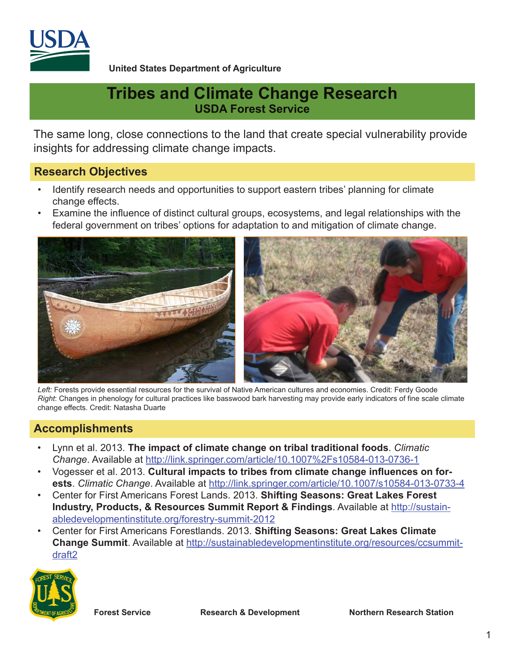

**United States Department of Agriculture**

# **Tribes and Climate Change Research USDA Forest Service**

The same long, close connections to the land that create special vulnerability provide insights for addressing climate change impacts.

#### **Research Objectives**

- Identify research needs and opportunities to support eastern tribes' planning for climate change effects.
- Examine the influence of distinct cultural groups, ecosystems, and legal relationships with the federal government on tribes' options for adaptation to and mitigation of climate change.



Left: Forests provide essential resources for the survival of Native American cultures and economies. Credit: Ferdy Goode *Right*: Changes in phenology for cultural practices like basswood bark harvesting may provide early indicators of fine scale climate change effects. Credit: Natasha Duarte

### **Accomplishments**

- Lynn et al. 2013. **The impact of climate change on tribal traditional foods**. *Climatic Change*. Available at http://link.springer.com/article/10.1007%2Fs10584-013-0736-1
- Vogesser et al. 2013. **Cultural impacts to tribes from climate change influences on forests**. *Climatic Change*. Available at http://link.springer.com/article/10.1007/s10584-013-0733-4
- Center for First Americans Forest Lands. 2013. **Shifting Seasons: Great Lakes Forest Industry, Products, & Resources Summit Report & Findings**. Available at http://sustainabledevelopmentinstitute.org/forestry-summit-2012
- Center for First Americans Forestlands. 2013. **Shifting Seasons: Great Lakes Climate Change Summit**. Available at http://sustainabledevelopmentinstitute.org/resources/ccsummitdraft2